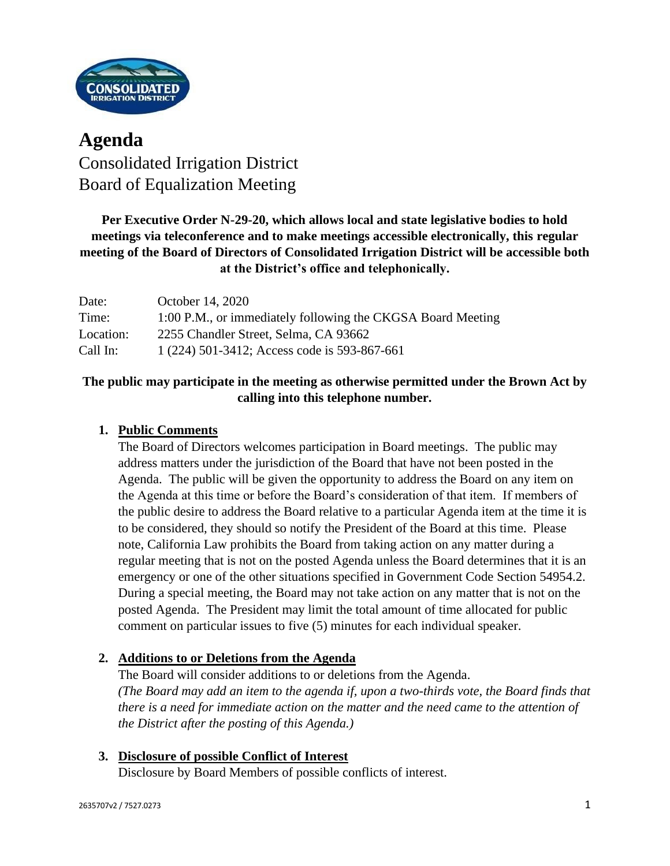

# **Agenda** Consolidated Irrigation District Board of Equalization Meeting

# **Per Executive Order N-29-20, which allows local and state legislative bodies to hold meetings via teleconference and to make meetings accessible electronically, this regular meeting of the Board of Directors of Consolidated Irrigation District will be accessible both at the District's office and telephonically.**

| Date:     | October 14, 2020                                            |
|-----------|-------------------------------------------------------------|
| Time:     | 1:00 P.M., or immediately following the CKGSA Board Meeting |
| Location: | 2255 Chandler Street, Selma, CA 93662                       |
| Call In:  | 1 (224) 501-3412; Access code is 593-867-661                |

# **The public may participate in the meeting as otherwise permitted under the Brown Act by calling into this telephone number.**

# **1. Public Comments**

The Board of Directors welcomes participation in Board meetings. The public may address matters under the jurisdiction of the Board that have not been posted in the Agenda. The public will be given the opportunity to address the Board on any item on the Agenda at this time or before the Board's consideration of that item. If members of the public desire to address the Board relative to a particular Agenda item at the time it is to be considered, they should so notify the President of the Board at this time. Please note, California Law prohibits the Board from taking action on any matter during a regular meeting that is not on the posted Agenda unless the Board determines that it is an emergency or one of the other situations specified in Government Code Section 54954.2. During a special meeting, the Board may not take action on any matter that is not on the posted Agenda. The President may limit the total amount of time allocated for public comment on particular issues to five (5) minutes for each individual speaker.

## **2. Additions to or Deletions from the Agenda**

The Board will consider additions to or deletions from the Agenda. *(The Board may add an item to the agenda if, upon a two-thirds vote, the Board finds that there is a need for immediate action on the matter and the need came to the attention of the District after the posting of this Agenda.)*

## **3. Disclosure of possible Conflict of Interest** Disclosure by Board Members of possible conflicts of interest.